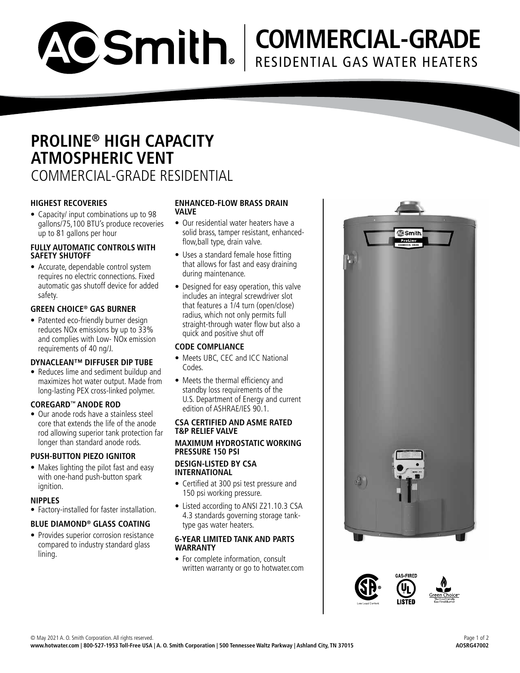#### • Reduces lime and sediment buildup and maximizes hot water output. Made from long-lasting PEX cross-linked polymer. **COREGARD ™ ANODE ROD** • Meets the thermal efficiency and standby loss requirements of the U.S. Department of Energy and current

• Our anode rods have a stainless steel core that extends the life of the anode rod allowing superior tank protection far longer than standard anode rods.

# **PUSH-BUTTON PIEZO IGNITOR**

**HIGHEST RECOVERIES**

**SAFETY SHUTOFF**

safety.

up to 81 gallons per hour

• Capacity/ input combinations up to 98 gallons/75,100 BTU's produce recoveries

**ATMOSPHERIC VENT**

**PROLINE ® HIGH CAPACITY** 

COMMERCIAL-GRADE RESIDENTIAL

ACSmith.

**FULLY AUTOMATIC CONTROLS WITH** 

• Accurate, dependable control system requires no electric connections. Fixed automatic gas shutoff device for added

**GREEN CHOICE ® GAS BURNER** • Patented eco-friendly burner design reduces NOx emissions by up to 33% and complies with Low- NOx emission

requirements of 40 ng/J.

**DYNACLEAN™ DIFFUSER DIP TUBE**

• Makes lighting the pilot fast and easy with one-hand push-button spark ignition.

# **NIPPLES**

• Factory-installed for faster installation.

# **BLUE DIAMOND ® GLASS COATING**

• Provides superior corrosion resistance compared to industry standard glass lining.

### **ENHANCED-FLOW BRASS DRAIN VALVE**

- Our residential water heaters have a solid brass, tamper resistant, enhancedflow,ball type, drain valve.
- Uses a standard female hose fitting that allows for fast and easy draining during maintenance.
- Designed for easy operation, this valve includes an integral screwdriver slot that features a 1/4 turn (open/close) radius, which not only permits full straight-through water flow but also a quick and positive shut off

# **CODE COMPLIANCE**

- Meets UBC, CEC and ICC National Codes.
- edition of ASHRAE/IES 90.1.

## **CSA CERTIFIED AND ASME RATED T&P RELIEF VALVE**

#### **MAXIMUM HYDROSTATIC WORKING PRESSURE 150 PSI DESIGN-LISTED BY CSA INTERNATIONAL**

- Certified at 300 psi test pressure and 150 psi working pressure.
- Listed according to ANSI Z21.10.3 CSA 4.3 standards governing storage tanktype gas water heaters.

### **6-YEAR LIMITED TANK AND PARTS WARRANTY**

• For complete information, consult written warranty or go to hotwater.com



**C**Smith

**COMMERCIAL-GRADE**

RESIDENTIAL GAS WATER HEATERS